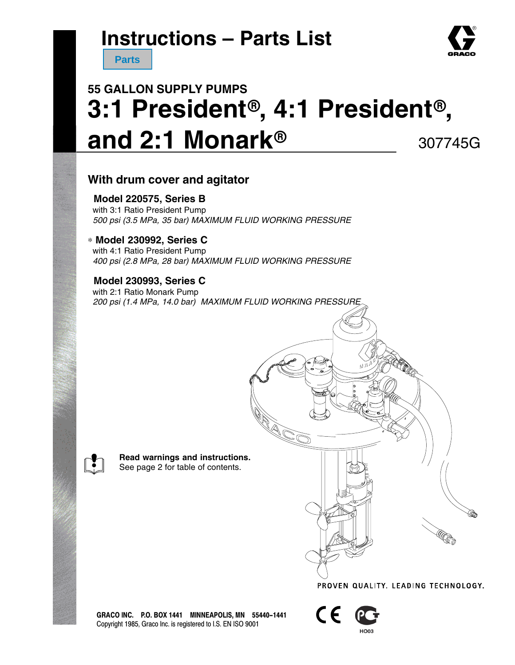**Parts**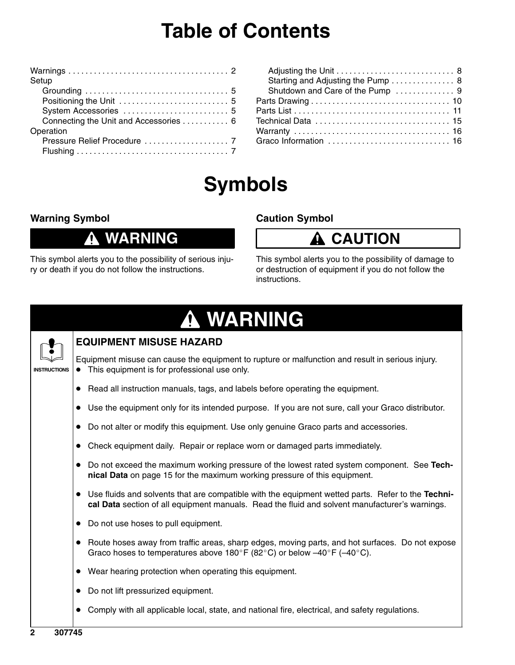## **Table of Contents**

| Setup                                 |
|---------------------------------------|
|                                       |
|                                       |
|                                       |
| Connecting the Unit and Accessories 6 |
| Operation                             |
|                                       |
|                                       |
|                                       |

| Starting and Adjusting the Pump 8 |  |
|-----------------------------------|--|
| Shutdown and Care of the Pump  9  |  |
|                                   |  |
|                                   |  |
|                                   |  |
|                                   |  |
| Graco Information  16             |  |
|                                   |  |

# **Symbols**

### **Warning Symbol**

### **WARNING**

This symbol alerts you to the possibility of serious injury or death if you do not follow the instructions.

#### **Caution Symbol**

## **A** CAUTION

This symbol alerts you to the possibility of damage to or destruction of equipment if you do not follow the instructions.

|--|



### **EQUIPMENT MISUSE HAZARD**

Equipment misuse can cause the equipment to rupture or malfunction and result in serious injury.  $\bullet$  This equipment is for professional use only.

- Read all instruction manuals, tags, and labels before operating the equipment.
- Use the equipment only for its intended purpose. If you are not sure, call your Graco distributor.
- Do not alter or modify this equipment. Use only genuine Graco parts and accessories.
- Check equipment daily. Repair or replace worn or damaged parts immediately.
- Do not exceed the maximum working pressure of the lowest rated system component. See **Technical Data** on page 15 for the maximum working pressure of this equipment.
- Use fluids and solvents that are compatible with the equipment wetted parts. Refer to the **Technical Data** section of all equipment manuals. Read the fluid and solvent manufacturer's warnings.
- Do not use hoses to pull equipment.
- Route hoses away from traffic areas, sharp edges, moving parts, and hot surfaces. Do not expose Graco hoses to temperatures above 180°F (82°C) or below -40°F (-40°C).
- Wear hearing protection when operating this equipment.
- Do not lift pressurized equipment.
- Comply with all applicable local, state, and national fire, electrical, and safety regulations.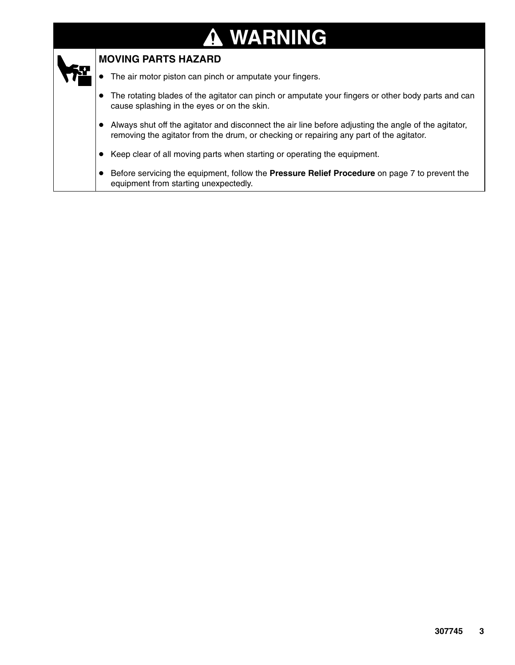#### **WARNING** Λ.



#### **MOVING PARTS HAZARD**

- $\bullet$ The air motor piston can pinch or amputate your fingers.
- $\bullet$  The rotating blades of the agitator can pinch or amputate your fingers or other body parts and can cause splashing in the eyes or on the skin.
- Always shut off the agitator and disconnect the air line before adjusting the angle of the agitator, removing the agitator from the drum, or checking or repairing any part of the agitator.
- $\bullet$ Keep clear of all moving parts when starting or operating the equipment.
- $\bullet$  Before servicing the equipment, follow the **Pressure Relief Procedure** on page 7 to prevent the equipment from starting unexpectedly.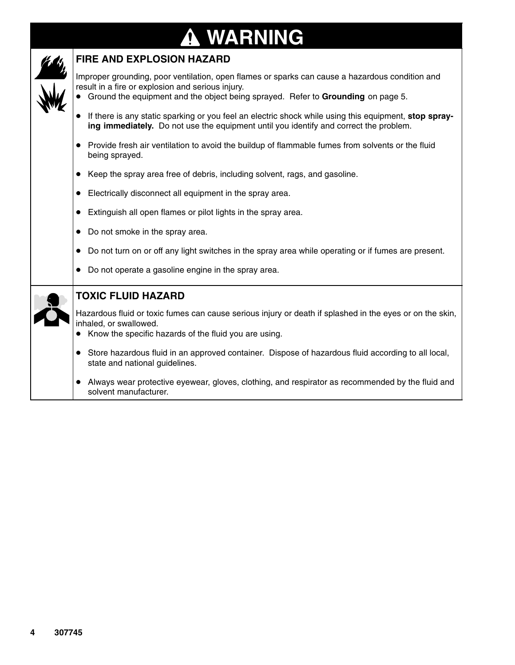### **WARNING** T

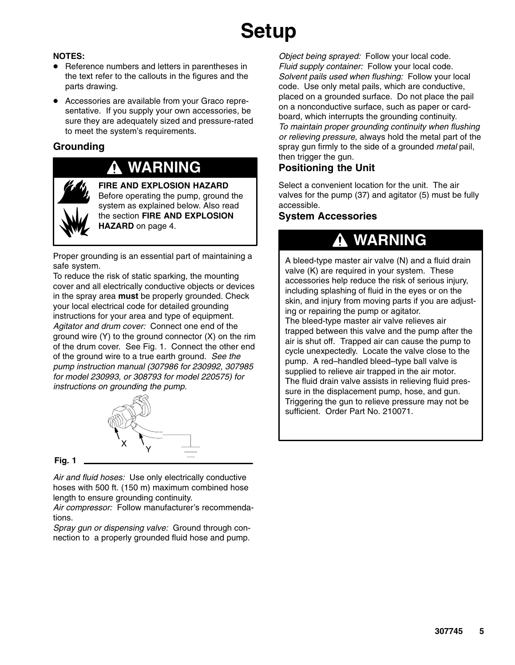# **Setup**

#### **NOTES:**

- Reference numbers and letters in parentheses in the text refer to the callouts in the figures and the parts drawing.
- Accessories are available from your Graco representative. If you supply your own accessories, be sure they are adequately sized and pressure-rated to meet the system's requirements.

#### **Grounding**

## **WARNING**



**FIRE AND EXPLOSION HAZARD** Before operating the pump, ground the system as explained below. Also read the section **FIRE AND EXPLOSION HAZARD** on page 4.

Proper grounding is an essential part of maintaining a safe system.

To reduce the risk of static sparking, the mounting cover and all electrically conductive objects or devices in the spray area **must** be properly grounded. Check your local electrical code for detailed grounding instructions for your area and type of equipment. *Agitator and drum cover:* Connect one end of the ground wire (Y) to the ground connector (X) on the rim of the drum cover. See Fig. 1. Connect the other end of the ground wire to a true earth ground. *See the pump instruction manual (307986 for 230992, 307985 for model 230993, or 308793 for model 220575) for instructions on grounding the pump.*



**Fig. 1**

*Air and fluid hoses:* Use only electrically conductive hoses with 500 ft. (150 m) maximum combined hose length to ensure grounding continuity.

*Air compressor:* Follow manufacturer's recommendations.

*Spray gun or dispensing valve:* Ground through connection to a properly grounded fluid hose and pump.

*Object being sprayed:* Follow your local code. *Fluid supply container:* Follow your local code. *Solvent pails used when flushing:* Follow your local code. Use only metal pails, which are conductive, placed on a grounded surface. Do not place the pail on a nonconductive surface, such as paper or cardboard, which interrupts the grounding continuity. *To maintain proper grounding continuity when flushing or relieving pressure,* always hold the metal part of the spray gun firmly to the side of a grounded *metal* pail, then trigger the gun.

### **Positioning the Unit**

Select a convenient location for the unit. The air valves for the pump (37) and agitator (5) must be fully accessible.

#### **System Accessories**

### **WARNING**

A bleed-type master air valve (N) and a fluid drain valve (K) are required in your system. These accessories help reduce the risk of serious injury, including splashing of fluid in the eyes or on the skin, and injury from moving parts if you are adjusting or repairing the pump or agitator. The bleed-type master air valve relieves air trapped between this valve and the pump after the air is shut off. Trapped air can cause the pump to cycle unexpectedly. Locate the valve close to the pump. A red–handled bleed–type ball valve is supplied to relieve air trapped in the air motor. The fluid drain valve assists in relieving fluid pressure in the displacement pump, hose, and gun. Triggering the gun to relieve pressure may not be sufficient. Order Part No. 210071.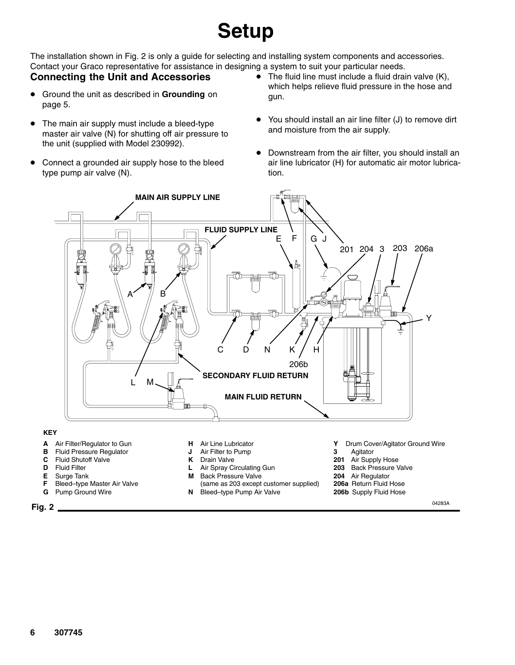# **Setup**

The installation shown in Fig. 2 is only a guide for selecting and installing system components and accessories. Contact your Graco representative for assistance in designing a system to suit your particular needs.

#### **Connecting the Unit and Accessories**

- Ground the unit as described in **Grounding** on page 5.
- $\bullet$  The main air supply must include a bleed-type master air valve (N) for shutting off air pressure to the unit (supplied with Model 230992).
- $\bullet$  Connect a grounded air supply hose to the bleed type pump air valve (N).
- $\bullet$  The fluid line must include a fluid drain valve (K), which helps relieve fluid pressure in the hose and gun.
- You should install an air line filter (J) to remove dirt and moisture from the air supply.
- $\bullet$  Downstream from the air filter, you should install an air line lubricator (H) for automatic air motor lubrication.



#### **KEY**

- **A** Air Filter/Regulator to Gun
- **B** Fluid Pressure Regulator
- **C** Fluid Shutoff Valve
- **D** Fluid Filter
- **E** Surge Tank<br>**F** Bleed-type
- **Bleed–type Master Air Valve**
- **G** Pump Ground Wire
- **H** Air Line Lubricator
- **J** Air Filter to Pump
- **K** Drain Valve
- **L** Air Spray Circulating Gun
- **M** Back Pressure Valve
- (same as 203 except customer supplied)
- **Y** Drum Cover/Agitator Ground Wire
- **3** Agitator
- **201** Air Supply Hose
- **203** Back Pressure Valve
- **204** Air Regulator
- **206a** Return Fluid Hose
- **206b** Supply Fluid Hose

**Fig. 2** 04283A

**N** Bleed–type Pump Air Valve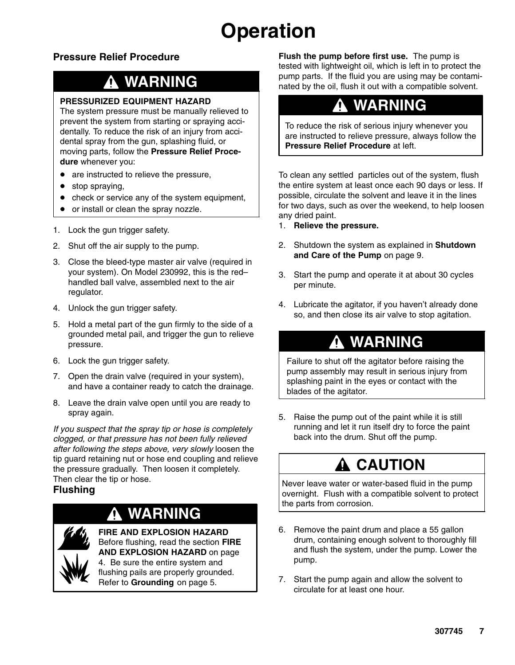# **Operation**

### **Pressure Relief Procedure**

## **WARNING**

#### **PRESSURIZED EQUIPMENT HAZARD**

The system pressure must be manually relieved to prevent the system from starting or spraying accidentally. To reduce the risk of an injury from accidental spray from the gun, splashing fluid, or moving parts, follow the **Pressure Relief Procedure** whenever you:

- are instructed to relieve the pressure,
- stop spraying,
- check or service any of the system equipment,
- or install or clean the spray nozzle.
- 1. Lock the gun trigger safety.
- 2. Shut off the air supply to the pump.
- 3. Close the bleed-type master air valve (required in your system). On Model 230992, this is the red– handled ball valve, assembled next to the air regulator.
- 4. Unlock the gun trigger safety.
- 5. Hold a metal part of the gun firmly to the side of a grounded metal pail, and trigger the gun to relieve pressure.
- 6. Lock the gun trigger safety.
- 7. Open the drain valve (required in your system), and have a container ready to catch the drainage.
- 8. Leave the drain valve open until you are ready to spray again.

*If you suspect that the spray tip or hose is completely clogged, or that pressure has not been fully relieved after following the steps above, very slowly* loosen the tip guard retaining nut or hose end coupling and relieve the pressure gradually. Then loosen it completely. Then clear the tip or hose.

#### **Flushing**

## **WARNING**

**FIRE AND EXPLOSION HAZARD** Before flushing, read the section **FIRE AND EXPLOSION HAZARD** on page 4. Be sure the entire system and flushing pails are properly grounded. Refer to **Grounding** on page 5.

**Flush the pump before first use.** The pump is tested with lightweight oil, which is left in to protect the pump parts. If the fluid you are using may be contaminated by the oil, flush it out with a compatible solvent.

### **WARNING**

To reduce the risk of serious injury whenever you are instructed to relieve pressure, always follow the **Pressure Relief Procedure** at left.

To clean any settled particles out of the system, flush the entire system at least once each 90 days or less. If possible, circulate the solvent and leave it in the lines for two days, such as over the weekend, to help loosen any dried paint.

- 1. **Relieve the pressure.**
- 2. Shutdown the system as explained in **Shutdown and Care of the Pump** on page 9.
- 3. Start the pump and operate it at about 30 cycles per minute.
- 4. Lubricate the agitator, if you haven't already done so, and then close its air valve to stop agitation.

## **WARNING**

Failure to shut off the agitator before raising the pump assembly may result in serious injury from splashing paint in the eyes or contact with the blades of the agitator.

5. Raise the pump out of the paint while it is still running and let it run itself dry to force the paint back into the drum. Shut off the pump.

## **CAUTION**

Never leave water or water-based fluid in the pump overnight. Flush with a compatible solvent to protect the parts from corrosion.

- 6. Remove the paint drum and place a 55 gallon drum, containing enough solvent to thoroughly fill and flush the system, under the pump. Lower the pump.
- 7. Start the pump again and allow the solvent to circulate for at least one hour.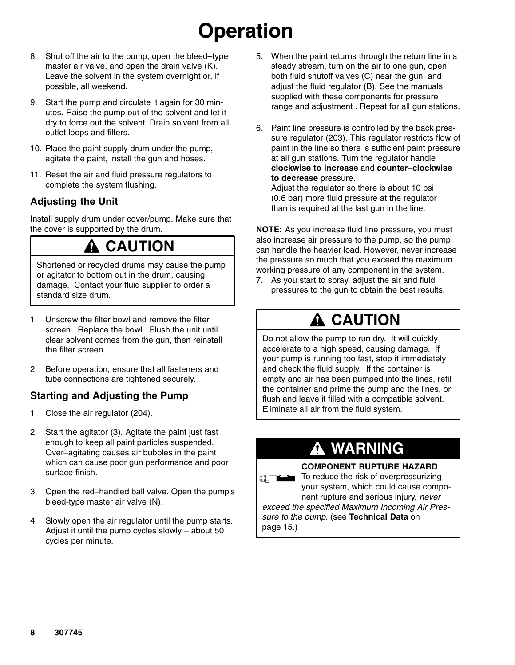# **Operation**

- 8. Shut off the air to the pump, open the bleed–type master air valve, and open the drain valve (K). Leave the solvent in the system overnight or, if possible, all weekend.
- 9. Start the pump and circulate it again for 30 minutes. Raise the pump out of the solvent and let it dry to force out the solvent. Drain solvent from all outlet loops and filters.
- 10. Place the paint supply drum under the pump, agitate the paint, install the gun and hoses.
- 11. Reset the air and fluid pressure regulators to complete the system flushing.

### **Adjusting the Unit**

Install supply drum under cover/pump. Make sure that the cover is supported by the drum.

### **CAUTION**

Shortened or recycled drums may cause the pump or agitator to bottom out in the drum, causing damage. Contact your fluid supplier to order a standard size drum.

- 1. Unscrew the filter bowl and remove the filter screen. Replace the bowl. Flush the unit until clear solvent comes from the gun, then reinstall the filter screen.
- 2. Before operation, ensure that all fasteners and tube connections are tightened securely.

### **Starting and Adjusting the Pump**

- 1. Close the air regulator (204).
- 2. Start the agitator (3). Agitate the paint just fast enough to keep all paint particles suspended. Over–agitating causes air bubbles in the paint which can cause poor gun performance and poor surface finish.
- 3. Open the red–handled ball valve. Open the pump's bleed-type master air valve (N).
- 4. Slowly open the air regulator until the pump starts. Adjust it until the pump cycles slowly – about 50 cycles per minute.
- 5. When the paint returns through the return line in a steady stream, turn on the air to one gun, open both fluid shutoff valves (C) near the gun, and adjust the fluid regulator (B). See the manuals supplied with these components for pressure range and adjustment . Repeat for all gun stations.
- 6. Paint line pressure is controlled by the back pressure regulator (203). This regulator restricts flow of paint in the line so there is sufficient paint pressure at all gun stations. Turn the regulator handle **clockwise to increase** and **counter–clockwise to decrease** pressure.

Adjust the regulator so there is about 10 psi (0.6 bar) more fluid pressure at the regulator than is required at the last gun in the line.

**NOTE:** As you increase fluid line pressure, you must also increase air pressure to the pump, so the pump can handle the heavier load. However, never increase the pressure so much that you exceed the maximum working pressure of any component in the system.

7. As you start to spray, adjust the air and fluid pressures to the gun to obtain the best results.

## **A CAUTION**

Do not allow the pump to run dry. It will quickly accelerate to a high speed, causing damage. If your pump is running too fast, stop it immediately and check the fluid supply. If the container is empty and air has been pumped into the lines, refill the container and prime the pump and the lines, or flush and leave it filled with a compatible solvent. Eliminate all air from the fluid system.

## **WARNING**

#### **COMPONENT RUPTURE HAZARD**

To reduce the risk of overpressurizing **ERLEADER** your system, which could cause component rupture and serious injury, *never*

*exceed the specified Maximum Incoming Air Pressure to the pump.* (see **Technical Data** on page 15.)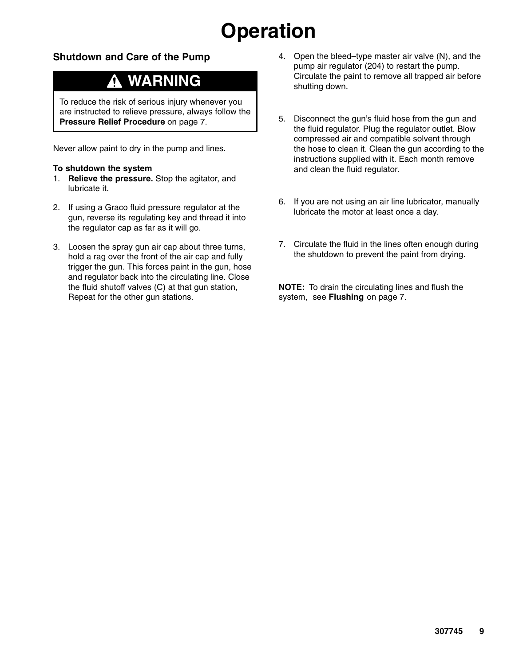# **Operation**

#### **Shutdown and Care of the Pump**

## **WARNING**

To reduce the risk of serious injury whenever you are instructed to relieve pressure, always follow the **Pressure Relief Procedure** on page 7.

Never allow paint to dry in the pump and lines.

#### **To shutdown the system**

- 1. **Relieve the pressure.** Stop the agitator, and lubricate it.
- 2. If using a Graco fluid pressure regulator at the gun, reverse its regulating key and thread it into the regulator cap as far as it will go.
- 3. Loosen the spray gun air cap about three turns, hold a rag over the front of the air cap and fully trigger the gun. This forces paint in the gun, hose and regulator back into the circulating line. Close the fluid shutoff valves (C) at that gun station, Repeat for the other gun stations.
- 4. Open the bleed–type master air valve (N), and the pump air regulator (204) to restart the pump. Circulate the paint to remove all trapped air before shutting down.
- 5. Disconnect the gun's fluid hose from the gun and the fluid regulator. Plug the regulator outlet. Blow compressed air and compatible solvent through the hose to clean it. Clean the gun according to the instructions supplied with it. Each month remove and clean the fluid regulator.
- 6. If you are not using an air line lubricator, manually lubricate the motor at least once a day.
- 7. Circulate the fluid in the lines often enough during the shutdown to prevent the paint from drying.

**NOTE:** To drain the circulating lines and flush the system, see **Flushing** on page 7.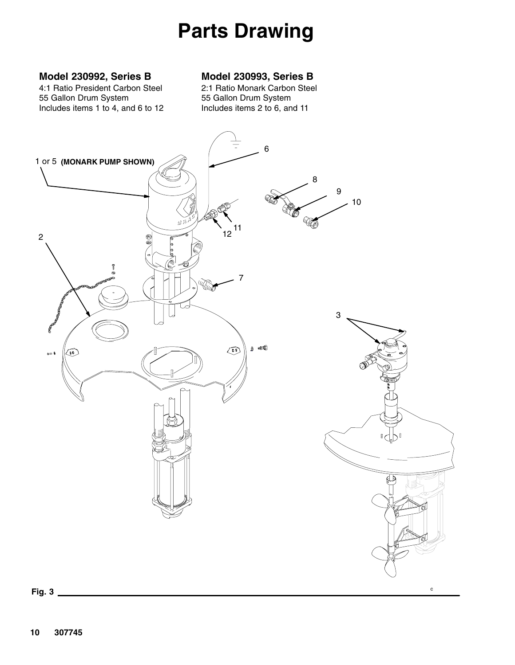# **Parts Drawing**

#### <span id="page-9-0"></span>**Model 230992, Series B**

4:1 Ratio President Carbon Steel 55 Gallon Drum System Includes items 1 to 4, and 6 to 12

#### **Model 230993, Series B**

2:1 Ratio Monark Carbon Steel 55 Gallon Drum System Includes items 2 to 6, and 11

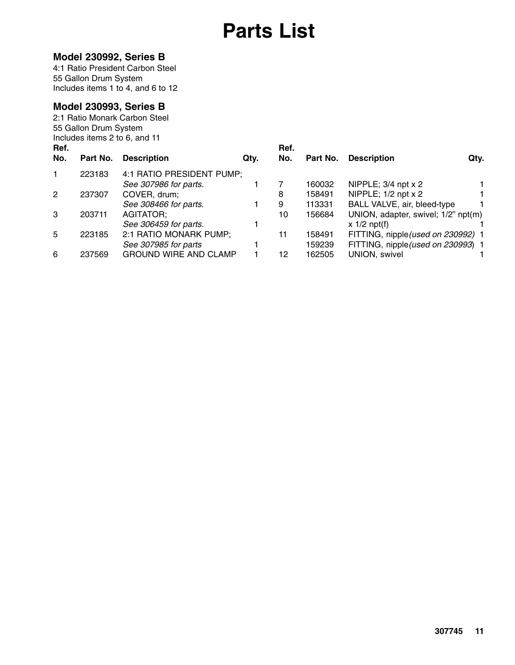## **Parts List**

#### **Model 230992, Series B**

4:1 Ratio President Carbon Steel 55 Gallon Drum System Includes items 1 to 4, and 6 to 12

#### **Model 230993, Series B**

| Ref.           | 55 Gallon Drum System<br>Includes items 2 to 6, and 11 | 2:1 Ratio Monark Carbon Steel |      | Ref. |          |                                     |  |
|----------------|--------------------------------------------------------|-------------------------------|------|------|----------|-------------------------------------|--|
| No.            | Part No.                                               | <b>Description</b>            | Qty. | No.  | Part No. | <b>Description</b><br>Qty.          |  |
| 1              | 223183                                                 | 4:1 RATIO PRESIDENT PUMP;     |      |      |          |                                     |  |
|                |                                                        | See 307986 for parts.         |      |      | 160032   | NIPPLE; 3/4 npt x 2                 |  |
| $\overline{2}$ | 237307                                                 | COVER, drum;                  |      | 8    | 158491   | NIPPLE; $1/2$ npt $x$ 2             |  |
|                |                                                        | See 308466 for parts.         |      | 9    | 113331   | BALL VALVE, air, bleed-type         |  |
| 3              | 203711                                                 | AGITATOR;                     |      | 10   | 156684   | UNION, adapter, swivel; 1/2" npt(m) |  |
|                |                                                        | See 306459 for parts.         |      |      |          | $x \frac{1}{2}$ npt(f)              |  |
| 5              | 223185                                                 | 2:1 RATIO MONARK PUMP;        |      | 11   | 158491   | FITTING, nipple(used on 230992) 1   |  |
|                |                                                        | See 307985 for parts          |      |      | 159239   | FITTING, nipple (used on 230993) 1  |  |
| 6              | 237569                                                 | <b>GROUND WIRE AND CLAMP</b>  |      | 12   | 162505   | <b>UNION, swivel</b>                |  |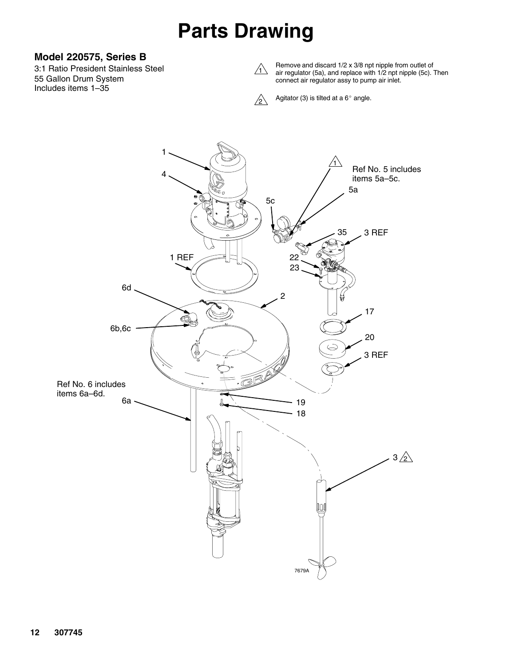## **Parts Drawing**

#### **Model 220575, Series B**

3:1 Ratio President Stainless Steel 55 Gallon Drum System Includes items 1–35



Remove and discard 1/2 x 3/8 npt nipple from outlet of air regulator (5a), and replace with 1/2 npt nipple (5c). Then connect air regulator assy to pump air inlet.



Agitator (3) is tilted at a  $6^{\circ}$  angle.

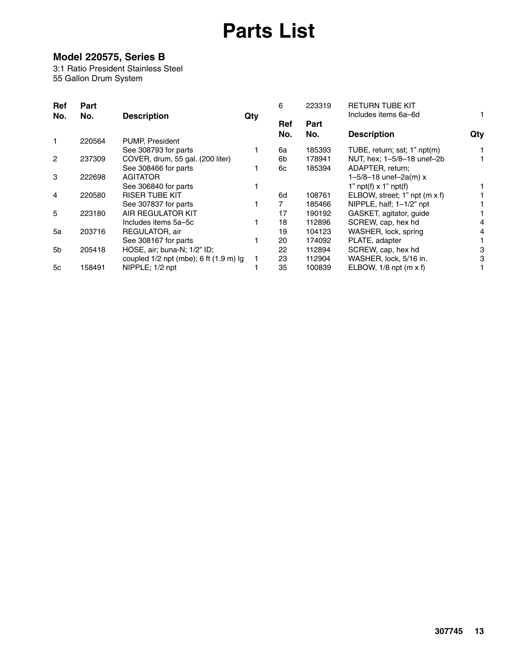## **Parts List**

### **Model 220575, Series B**

3:1 Ratio President Stainless Steel 55 Gallon Drum System

| Ref<br>No.     | Part<br>No. | <b>Description</b>                     |     | 6          | 223319      | <b>RETURN TUBE KIT</b><br>Includes items 6a-6d |     |
|----------------|-------------|----------------------------------------|-----|------------|-------------|------------------------------------------------|-----|
|                |             |                                        | Qty | Ref<br>No. | Part<br>No. | <b>Description</b>                             | Qty |
|                | 220564      | PUMP, President                        |     |            |             |                                                |     |
|                |             | See 308793 for parts                   |     | 6a         | 185393      | TUBE, return; sst; 1" npt(m)                   |     |
| $\overline{2}$ | 237309      | COVER, drum, 55 gal. (200 liter)       |     | 6b         | 178941      | NUT, hex; 1-5/8-18 unef-2b                     |     |
|                |             | See 308466 for parts                   |     | 6с         | 185394      | ADAPTER, return;                               |     |
| 3              | 222698      | <b>AGITATOR</b>                        |     |            |             | $1 - 5/8 - 18$ unef-2a(m) x                    |     |
|                |             | See 306840 for parts                   |     |            |             | 1" $npt(f)$ x 1" $npt(f)$                      |     |
| 4              | 220580      | <b>RISER TUBE KIT</b>                  |     | 6d         | 108761      | ELBOW, street; 1" npt (m x f)                  |     |
|                |             | See 307837 for parts                   |     |            | 185466      | NIPPLE, half; $1-1/2$ " npt                    |     |
| 5              | 223180      | AIR REGULATOR KIT                      |     | 17         | 190192      | GASKET, agitator, guide                        |     |
|                |             | Includes items 5a-5c                   |     | 18         | 112896      | SCREW, cap, hex hd                             | 4   |
| 5a             | 203716      | REGULATOR, air                         |     | 19         | 104123      | WASHER, lock, spring                           |     |
|                |             | See 308167 for parts                   |     | 20         | 174092      | PLATE, adapter                                 |     |
| 5b             | 205418      | HOSE, air; buna-N; 1/2" ID;            |     | 22         | 112894      | SCREW, cap, hex hd                             | 3   |
|                |             | coupled 1/2 npt (mbe); 6 ft (1.9 m) lg |     | 23         | 112904      | WASHER, lock, 5/16 in.                         | 3   |
| 5c             | 158491      | NIPPLE; 1/2 npt                        |     | 35         | 100839      | ELBOW, $1/8$ npt (m x f)                       |     |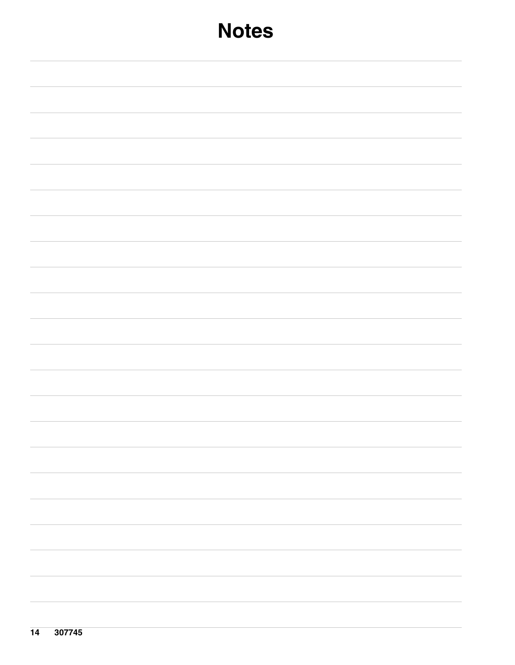| <b>Notes</b> |  |  |  |  |
|--------------|--|--|--|--|
|              |  |  |  |  |
|              |  |  |  |  |
|              |  |  |  |  |
|              |  |  |  |  |
|              |  |  |  |  |
|              |  |  |  |  |
|              |  |  |  |  |
|              |  |  |  |  |
|              |  |  |  |  |
|              |  |  |  |  |
|              |  |  |  |  |
|              |  |  |  |  |
|              |  |  |  |  |
|              |  |  |  |  |
|              |  |  |  |  |
|              |  |  |  |  |
|              |  |  |  |  |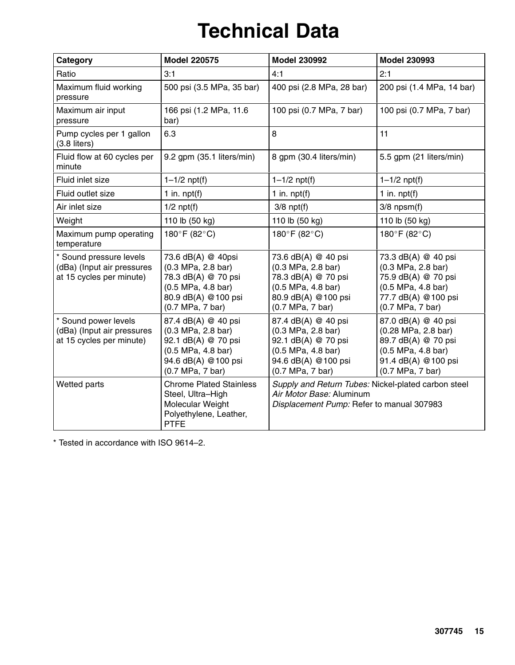# **Technical Data**

| Category                                                                          | <b>Model 220575</b>                                                                                                               | <b>Model 230992</b><br><b>Model 230993</b>                                                                                         |                                                                                                                                    |  |
|-----------------------------------------------------------------------------------|-----------------------------------------------------------------------------------------------------------------------------------|------------------------------------------------------------------------------------------------------------------------------------|------------------------------------------------------------------------------------------------------------------------------------|--|
| Ratio                                                                             | 3:1                                                                                                                               | 4:1                                                                                                                                | 2:1                                                                                                                                |  |
| Maximum fluid working<br>pressure                                                 | 500 psi (3.5 MPa, 35 bar)                                                                                                         | 400 psi (2.8 MPa, 28 bar)                                                                                                          | 200 psi (1.4 MPa, 14 bar)                                                                                                          |  |
| Maximum air input<br>pressure                                                     | 166 psi (1.2 MPa, 11.6<br>bar)                                                                                                    | 100 psi (0.7 MPa, 7 bar)                                                                                                           | 100 psi (0.7 MPa, 7 bar)                                                                                                           |  |
| Pump cycles per 1 gallon<br>(3.8 liters)                                          | 6.3                                                                                                                               | 8                                                                                                                                  | 11                                                                                                                                 |  |
| Fluid flow at 60 cycles per<br>minute                                             | 9.2 gpm (35.1 liters/min)                                                                                                         | 8 gpm (30.4 liters/min)                                                                                                            | 5.5 gpm (21 liters/min)                                                                                                            |  |
| Fluid inlet size                                                                  | $1 - 1/2$ npt(f)                                                                                                                  | $1 - 1/2$ npt(f)                                                                                                                   | $1 - 1/2$ npt(f)                                                                                                                   |  |
| Fluid outlet size                                                                 | 1 in. $npt(f)$                                                                                                                    | 1 in. $npt(f)$                                                                                                                     | 1 in. $npt(f)$                                                                                                                     |  |
| Air inlet size                                                                    | $1/2$ npt $(f)$                                                                                                                   | $3/8$ npt $(f)$                                                                                                                    | $3/8$ npsm $(f)$                                                                                                                   |  |
| Weight                                                                            | 110 lb (50 kg)                                                                                                                    | 110 lb (50 kg)                                                                                                                     | 110 lb (50 kg)                                                                                                                     |  |
| Maximum pump operating<br>temperature                                             | 180°F (82°C)                                                                                                                      | 180°F (82°C)                                                                                                                       | 180°F (82°C)                                                                                                                       |  |
| * Sound pressure levels<br>(dBa) (Input air pressures<br>at 15 cycles per minute) | 73.6 dB(A) @ 40psi<br>(0.3 MPa, 2.8 bar)<br>78.3 dB(A) @ 70 psi<br>(0.5 MPa, 4.8 bar)<br>80.9 dB(A) @100 psi<br>(0.7 MPa, 7 bar)  | 73.6 dB(A) @ 40 psi<br>(0.3 MPa, 2.8 bar)<br>78.3 dB(A) @ 70 psi<br>(0.5 MPa, 4.8 bar)<br>80.9 dB(A) @ 100 psi<br>(0.7 MPa, 7 bar) | 73.3 dB(A) @ 40 psi<br>(0.3 MPa, 2.8 bar)<br>75.9 dB(A) @ 70 psi<br>(0.5 MPa, 4.8 bar)<br>77.7 dB(A) @100 psi<br>(0.7 MPa, 7 bar)  |  |
| * Sound power levels<br>(dBa) (Input air pressures<br>at 15 cycles per minute)    | 87.4 dB(A) @ 40 psi<br>(0.3 MPa, 2.8 bar)<br>92.1 dB(A) @ 70 psi<br>(0.5 MPa, 4.8 bar)<br>94.6 dB(A) @100 psi<br>(0.7 MPa, 7 bar) | 87.4 dB(A) @ 40 psi<br>(0.3 MPa, 2.8 bar)<br>92.1 dB(A) @ 70 psi<br>(0.5 MPa, 4.8 bar)<br>94.6 dB(A) @100 psi<br>(0.7 MPa, 7 bar)  | 87.0 dB(A) @ 40 psi<br>(0.28 MPa, 2.8 bar)<br>89.7 dB(A) @ 70 psi<br>(0.5 MPa, 4.8 bar)<br>91.4 dB(A) @100 psi<br>(0.7 MPa, 7 bar) |  |
| Wetted parts                                                                      | <b>Chrome Plated Stainless</b><br>Steel, Ultra-High<br>Molecular Weight<br>Polyethylene, Leather,<br><b>PTFE</b>                  | Supply and Return Tubes: Nickel-plated carbon steel<br>Air Motor Base: Aluminum<br>Displacement Pump: Refer to manual 307983       |                                                                                                                                    |  |

\* Tested in accordance with ISO 9614–2.